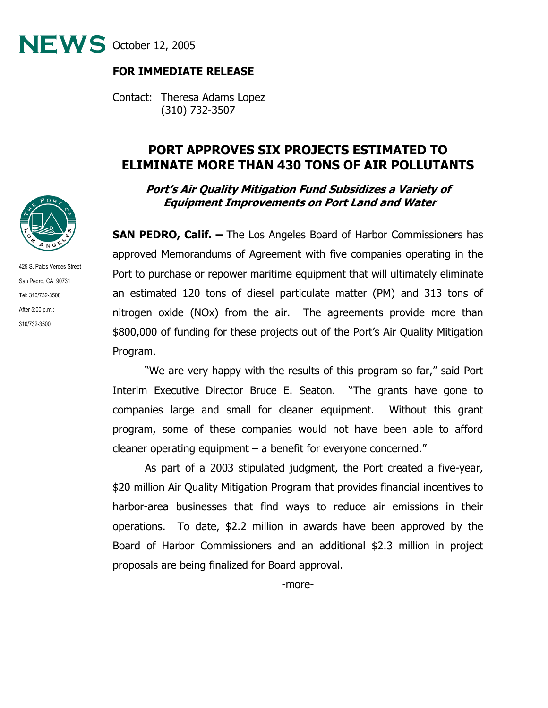

### **FOR IMMEDIATE RELEASE**

Contact: Theresa Adams Lopez (310) 732-3507

# **PORT APPROVES SIX PROJECTS ESTIMATED TO ELIMINATE MORE THAN 430 TONS OF AIR POLLUTANTS**

### **Port's Air Quality Mitigation Fund Subsidizes a Variety of Equipment Improvements on Port Land and Water**

**SAN PEDRO, Calif. –** The Los Angeles Board of Harbor Commissioners has approved Memorandums of Agreement with five companies operating in the Port to purchase or repower maritime equipment that will ultimately eliminate an estimated 120 tons of diesel particulate matter (PM) and 313 tons of nitrogen oxide (NOx) from the air. The agreements provide more than \$800,000 of funding for these projects out of the Port's Air Quality Mitigation Program.

 "We are very happy with the results of this program so far," said Port Interim Executive Director Bruce E. Seaton. "The grants have gone to companies large and small for cleaner equipment. Without this grant program, some of these companies would not have been able to afford cleaner operating equipment – a benefit for everyone concerned."

 As part of a 2003 stipulated judgment, the Port created a five-year, \$20 million Air Quality Mitigation Program that provides financial incentives to harbor-area businesses that find ways to reduce air emissions in their operations. To date, \$2.2 million in awards have been approved by the Board of Harbor Commissioners and an additional \$2.3 million in project proposals are being finalized for Board approval.



425 S. Palos Verdes Street San Pedro, CA 90731 Tel: 310/732-3508 After 5:00 p.m.: 310/732-3500

-more-